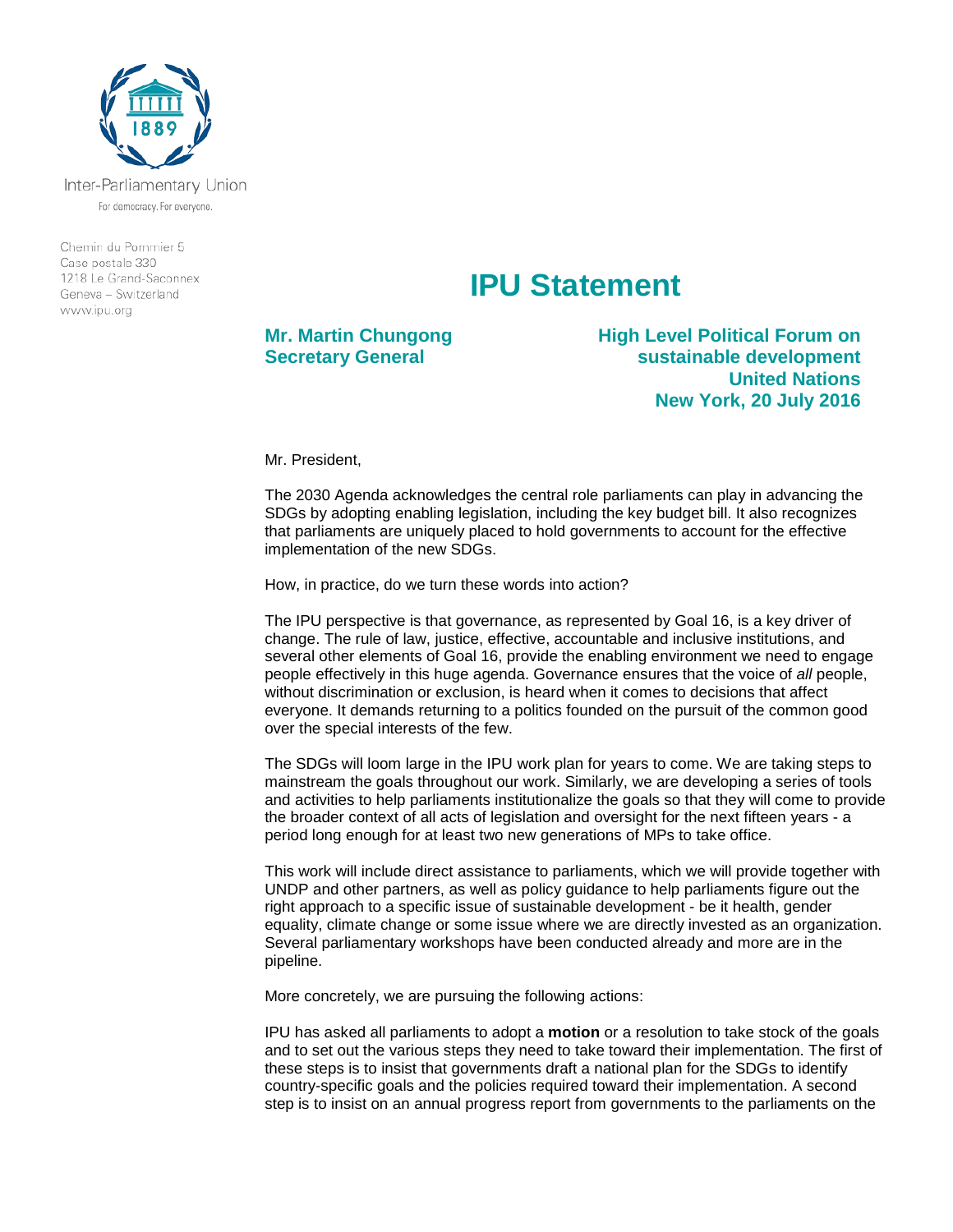

Inter-Parliamentary Union For democracy. For everyone.

Chemin du Pommier 5 Case postale 330 1218 Le Grand-Saconnex Geneva - Switzerland www.ipu.org

## **IPU Statement**

**Mr. Martin Chungong Secretary General**

**High Level Political Forum on sustainable development United Nations New York, 20 July 2016**

Mr. President,

The 2030 Agenda acknowledges the central role parliaments can play in advancing the SDGs by adopting enabling legislation, including the key budget bill. It also recognizes that parliaments are uniquely placed to hold governments to account for the effective implementation of the new SDGs.

How, in practice, do we turn these words into action?

The IPU perspective is that governance, as represented by Goal 16, is a key driver of change. The rule of law, justice, effective, accountable and inclusive institutions, and several other elements of Goal 16, provide the enabling environment we need to engage people effectively in this huge agenda. Governance ensures that the voice of *all* people, without discrimination or exclusion, is heard when it comes to decisions that affect everyone. It demands returning to a politics founded on the pursuit of the common good over the special interests of the few.

The SDGs will loom large in the IPU work plan for years to come. We are taking steps to mainstream the goals throughout our work. Similarly, we are developing a series of tools and activities to help parliaments institutionalize the goals so that they will come to provide the broader context of all acts of legislation and oversight for the next fifteen years - a period long enough for at least two new generations of MPs to take office.

This work will include direct assistance to parliaments, which we will provide together with UNDP and other partners, as well as policy guidance to help parliaments figure out the right approach to a specific issue of sustainable development - be it health, gender equality, climate change or some issue where we are directly invested as an organization. Several parliamentary workshops have been conducted already and more are in the pipeline.

More concretely, we are pursuing the following actions:

IPU has asked all parliaments to adopt a **motion** or a resolution to take stock of the goals and to set out the various steps they need to take toward their implementation. The first of these steps is to insist that governments draft a national plan for the SDGs to identify country-specific goals and the policies required toward their implementation. A second step is to insist on an annual progress report from governments to the parliaments on the